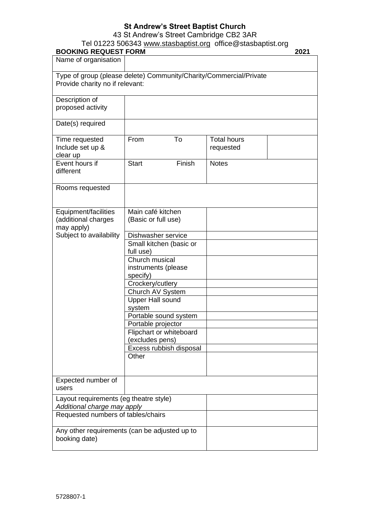# **St Andrew's Street Baptist Church**

43 St Andrew's Street Cambridge CB2 3AR

#### Tel 01223 506343 [www.stasbaptist.org](http://www.stasbaptist.org/) office@stasbaptist.org

| <b>BOOKING REQUEST FORM</b>                                                                                 |                                                                                                                                                                                 |                                 | 2021 |  |
|-------------------------------------------------------------------------------------------------------------|---------------------------------------------------------------------------------------------------------------------------------------------------------------------------------|---------------------------------|------|--|
| Name of organisation                                                                                        |                                                                                                                                                                                 |                                 |      |  |
| Type of group (please delete) Community/Charity/Commercial/Private<br>Provide charity no if relevant:       |                                                                                                                                                                                 |                                 |      |  |
| Description of<br>proposed activity                                                                         |                                                                                                                                                                                 |                                 |      |  |
| Date(s) required                                                                                            |                                                                                                                                                                                 |                                 |      |  |
| Time requested<br>Include set up &<br>clear up                                                              | From<br>To                                                                                                                                                                      | <b>Total hours</b><br>requested |      |  |
| Event hours if<br>different                                                                                 | Finish<br><b>Start</b>                                                                                                                                                          | <b>Notes</b>                    |      |  |
| Rooms requested                                                                                             |                                                                                                                                                                                 |                                 |      |  |
| Equipment/facilities<br>(additional charges<br>may apply)<br>Subject to availability                        | Main café kitchen<br>(Basic or full use)<br>Dishwasher service<br>Small kitchen (basic or<br>full use)<br>Church musical<br>instruments (please<br>specify)<br>Crockery/cutlery |                                 |      |  |
|                                                                                                             | Church AV System<br>Upper Hall sound<br>system<br>Portable sound system<br>Portable projector<br>Flipchart or whiteboard<br>(excludes pens)<br>Excess rubbish disposal<br>Other |                                 |      |  |
| Expected number of                                                                                          |                                                                                                                                                                                 |                                 |      |  |
| users                                                                                                       |                                                                                                                                                                                 |                                 |      |  |
| Layout requirements (eg theatre style)<br>Additional charge may apply<br>Requested numbers of tables/chairs |                                                                                                                                                                                 |                                 |      |  |
| Any other requirements (can be adjusted up to<br>booking date)                                              |                                                                                                                                                                                 |                                 |      |  |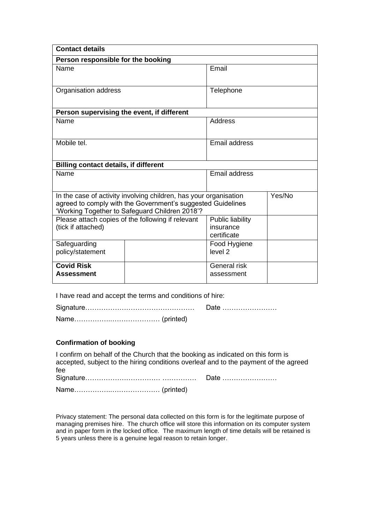| <b>Contact details</b>                                                                                                                                                             |  |                                              |        |  |  |
|------------------------------------------------------------------------------------------------------------------------------------------------------------------------------------|--|----------------------------------------------|--------|--|--|
| Person responsible for the booking                                                                                                                                                 |  |                                              |        |  |  |
| Name                                                                                                                                                                               |  | Email                                        |        |  |  |
| Organisation address                                                                                                                                                               |  | Telephone                                    |        |  |  |
| Person supervising the event, if different                                                                                                                                         |  |                                              |        |  |  |
| Name                                                                                                                                                                               |  | Address                                      |        |  |  |
| Mobile tel.                                                                                                                                                                        |  | <b>Email address</b>                         |        |  |  |
| <b>Billing contact details, if different</b>                                                                                                                                       |  |                                              |        |  |  |
| Name                                                                                                                                                                               |  | Email address                                |        |  |  |
| In the case of activity involving children, has your organisation<br>agreed to comply with the Government's suggested Guidelines<br>'Working Together to Safeguard Children 2018'? |  |                                              | Yes/No |  |  |
| Please attach copies of the following if relevant<br>(tick if attached)                                                                                                            |  | Public liability<br>insurance<br>certificate |        |  |  |
| Safeguarding<br>policy/statement                                                                                                                                                   |  | Food Hygiene<br>level <sub>2</sub>           |        |  |  |
| <b>Covid Risk</b><br><b>Assessment</b>                                                                                                                                             |  | General risk<br>assessment                   |        |  |  |

I have read and accept the terms and conditions of hire:

Signature………………………………………… Date ……………………

Name……………..………………… (printed)

## **Confirmation of booking**

|      | I confirm on behalf of the Church that the booking as indicated on this form is      |
|------|--------------------------------------------------------------------------------------|
|      | accepted, subject to the hiring conditions overleaf and to the payment of the agreed |
| fee. |                                                                                      |
|      |                                                                                      |
|      |                                                                                      |

Privacy statement: The personal data collected on this form is for the legitimate purpose of managing premises hire. The church office will store this information on its computer system and in paper form in the locked office. The maximum length of time details will be retained is 5 years unless there is a genuine legal reason to retain longer.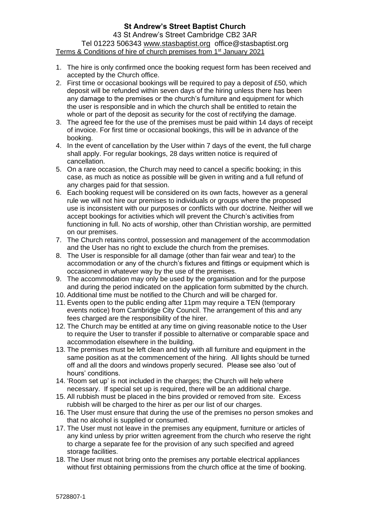## **St Andrew's Street Baptist Church**

43 St Andrew's Street Cambridge CB2 3AR Tel 01223 506343 [www.stasbaptist.org](http://www.stasbaptist.org/) office@stasbaptist.org Terms & Conditions of hire of church premises from 1<sup>st</sup> January 2021

- 1. The hire is only confirmed once the booking request form has been received and accepted by the Church office.
- 2. First time or occasional bookings will be required to pay a deposit of £50, which deposit will be refunded within seven days of the hiring unless there has been any damage to the premises or the church's furniture and equipment for which the user is responsible and in which the church shall be entitled to retain the whole or part of the deposit as security for the cost of rectifying the damage.
- 3. The agreed fee for the use of the premises must be paid within 14 days of receipt of invoice. For first time or occasional bookings, this will be in advance of the booking.
- 4. In the event of cancellation by the User within 7 days of the event, the full charge shall apply. For regular bookings, 28 days written notice is required of cancellation.
- 5. On a rare occasion, the Church may need to cancel a specific booking; in this case, as much as notice as possible will be given in writing and a full refund of any charges paid for that session.
- 6. Each booking request will be considered on its own facts, however as a general rule we will not hire our premises to individuals or groups where the proposed use is inconsistent with our purposes or conflicts with our doctrine. Neither will we accept bookings for activities which will prevent the Church's activities from functioning in full. No acts of worship, other than Christian worship, are permitted on our premises.
- 7. The Church retains control, possession and management of the accommodation and the User has no right to exclude the church from the premises.
- 8. The User is responsible for all damage (other than fair wear and tear) to the accommodation or any of the church's fixtures and fittings or equipment which is occasioned in whatever way by the use of the premises.
- 9. The accommodation may only be used by the organisation and for the purpose and during the period indicated on the application form submitted by the church.
- 10. Additional time must be notified to the Church and will be charged for.
- 11. Events open to the public ending after 11pm may require a TEN (temporary events notice) from Cambridge City Council. The arrangement of this and any fees charged are the responsibility of the hirer.
- 12. The Church may be entitled at any time on giving reasonable notice to the User to require the User to transfer if possible to alternative or comparable space and accommodation elsewhere in the building.
- 13. The premises must be left clean and tidy with all furniture and equipment in the same position as at the commencement of the hiring. All lights should be turned off and all the doors and windows properly secured. Please see also 'out of hours' conditions.
- 14. 'Room set up' is not included in the charges; the Church will help where necessary. If special set up is required, there will be an additional charge.
- 15. All rubbish must be placed in the bins provided or removed from site. Excess rubbish will be charged to the hirer as per our list of our charges.
- 16. The User must ensure that during the use of the premises no person smokes and that no alcohol is supplied or consumed.
- 17. The User must not leave in the premises any equipment, furniture or articles of any kind unless by prior written agreement from the church who reserve the right to charge a separate fee for the provision of any such specified and agreed storage facilities.
- 18. The User must not bring onto the premises any portable electrical appliances without first obtaining permissions from the church office at the time of booking.